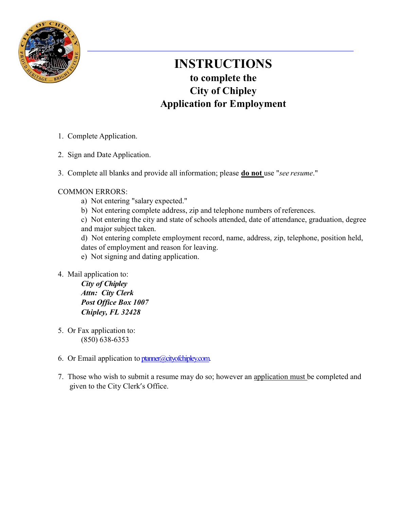

## INSTRUCTIONS to complete the City of Chipley Application for Employment

- 1. Complete Application.
- 2. Sign and Date Application.
- 3. Complete all blanks and provide all information; please **do not** use "see resume."

### COMMON ERRORS:

- a) Not entering "salary expected."
- b) Not entering complete address, zip and telephone numbers of references.

c) Not entering the city and state of schools attended, date of attendance, graduation, degree and major subject taken.

d) Not entering complete employment record, name, address, zip, telephone, position held, dates of employment and reason for leaving.

- e) Not signing and dating application.
- 4. Mail application to:

City of Chipley Attn: City Clerk Post Office Box 1007 Chipley, FL 32428

- 5. Or Fax application to: (850) 638-6353
- 6. Or Email application to ptanner@cityofchipley.com.
- 7. Those who wish to submit a resume may do so; however an application must be completed and given to the City Clerk's Office.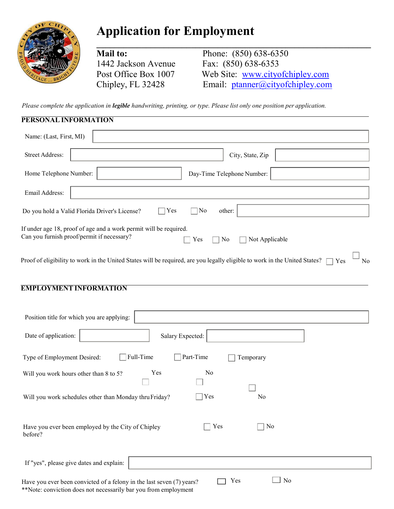

# Application for Employment

Mail to: Phone: (850) 638-6350 1442 Jackson Avenue Fax: (850) 638-6353 Post Office Box 1007 Web Site: www.cityofchipley.com Chipley, FL 32428 Email: ptanner@cityofchipley.com

 $\overline{\phantom{a}}$ 

Please complete the application in legible handwriting, printing, or type. Please list only one position per application.

| PERSONAL INFORMATION                                                                                                                                         |
|--------------------------------------------------------------------------------------------------------------------------------------------------------------|
| Name: (Last, First, MI)                                                                                                                                      |
| <b>Street Address:</b><br>City, State, Zip                                                                                                                   |
| Home Telephone Number:<br>Day-Time Telephone Number:                                                                                                         |
| Email Address:                                                                                                                                               |
| No<br>Do you hold a Valid Florida Driver's License?<br>Yes<br>other:                                                                                         |
| If under age 18, proof of age and a work permit will be required.<br>Can you furnish proof/permit if necessary?<br>Yes<br>No<br>Not Applicable               |
| Proof of eligibility to work in the United States will be required, are you legally eligible to work in the United States?<br>No<br>Yes                      |
| <b>EMPLOYMENT INFORMATION</b>                                                                                                                                |
| Position title for which you are applying:                                                                                                                   |
| Date of application:<br>Salary Expected:                                                                                                                     |
| Full-Time<br>Part-Time<br>Type of Employment Desired:<br>Temporary                                                                                           |
| Yes<br>No<br>Will you work hours other than 8 to 5?                                                                                                          |
| Will you work schedules other than Monday thru Friday?<br>Yes<br>No                                                                                          |
| Yes<br>] No<br>Have you ever been employed by the City of Chipley<br>before?                                                                                 |
| If "yes", please give dates and explain:                                                                                                                     |
| $\Box$ No<br>Yes<br>Have you ever been convicted of a felony in the last seven (7) years?<br>**Note: conviction does not necessarily bar you from employment |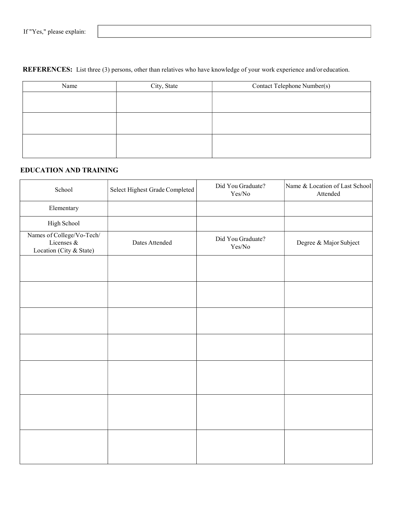#### REFERENCES: List three (3) persons, other than relatives who have knowledge of your work experience and/or education.

| City, State | Contact Telephone Number(s) |
|-------------|-----------------------------|
|             |                             |
|             |                             |
|             |                             |
|             |                             |
|             |                             |
|             |                             |
|             |                             |

#### EDUCATION AND TRAINING

| School                                                                | Select Highest Grade Completed | Did You Graduate?<br>$\rm Yes/No$ | Name & Location of Last School<br>Attended |
|-----------------------------------------------------------------------|--------------------------------|-----------------------------------|--------------------------------------------|
| Elementary                                                            |                                |                                   |                                            |
| High School                                                           |                                |                                   |                                            |
| Names of College/Vo-Tech/<br>Licenses $\&$<br>Location (City & State) | Dates Attended                 | Did You Graduate?<br>$\rm Yes/No$ | Degree & Major Subject                     |
|                                                                       |                                |                                   |                                            |
|                                                                       |                                |                                   |                                            |
|                                                                       |                                |                                   |                                            |
|                                                                       |                                |                                   |                                            |
|                                                                       |                                |                                   |                                            |
|                                                                       |                                |                                   |                                            |
|                                                                       |                                |                                   |                                            |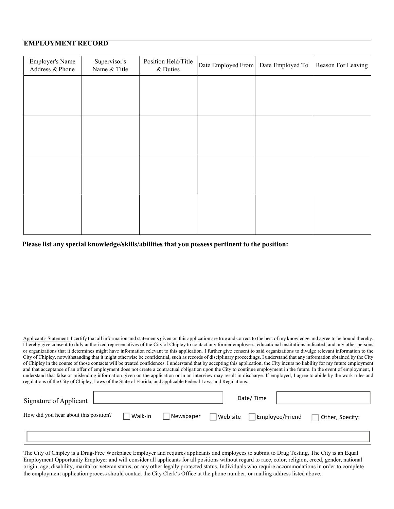#### EMPLOYMENT RECORD

| <b>Employer's Name</b><br>Address & Phone | Supervisor's<br>Name & Title | Position Held/Title<br>& Duties | Date Employed From | Date Employed To | Reason For Leaving |
|-------------------------------------------|------------------------------|---------------------------------|--------------------|------------------|--------------------|
|                                           |                              |                                 |                    |                  |                    |
|                                           |                              |                                 |                    |                  |                    |
|                                           |                              |                                 |                    |                  |                    |
|                                           |                              |                                 |                    |                  |                    |
|                                           |                              |                                 |                    |                  |                    |
|                                           |                              |                                 |                    |                  |                    |
|                                           |                              |                                 |                    |                  |                    |
|                                           |                              |                                 |                    |                  |                    |

Please list any special knowledge/skills/abilities that you possess pertinent to the position:

Applicant's Statement: I certify that all information and statements given on this application are true and correct to the best of my knowledge and agree to be bound thereby. I hereby give consent to duly authorized representatives of the City of Chipley to contact any former employers, educational institutions indicated, and any other persons or organizations that it determines might have information relevant to this application. I further give consent to said organizations to divulge relevant information to the City of Chipley, notwithstanding that it might otherwise be confidential, such as records of disciplinary proceedings. I understand that any information obtained by the City of Chipley in the course of those contacts will be treated confidences. I understand that by accepting this application, the City incurs no liability for my future employment and that acceptance of an offer of employment does not create a contractual obligation upon the City to continue employment in the future. In the event of employment, I understand that false or misleading information given on the application or in an interview may result in discharge. If employed, I agree to abide by the work rules and regulations of the City of Chipley, Laws of the State of Florida, and applicable Federal Laws and Regulations.

| Signature of Applicant                |         |           |          | Date/Time |                 |                 |
|---------------------------------------|---------|-----------|----------|-----------|-----------------|-----------------|
| How did you hear about this position? | Walk-in | Newspaper | Web site |           | Employee/Friend | Other, Specify: |
|                                       |         |           |          |           |                 |                 |

The City of Chipley is a Drug-Free Workplace Employer and requires applicants and employees to submit to Drug Testing. The City is an Equal Employment Opportunity Employer and will consider all applicants for all positions without regard to race, color, religion, creed, gender, national origin, age, disability, marital or veteran status, or any other legally protected status. Individuals who require accommodations in order to complete the employment application process should contact the City Clerk's Office at the phone number, or mailing address listed above.